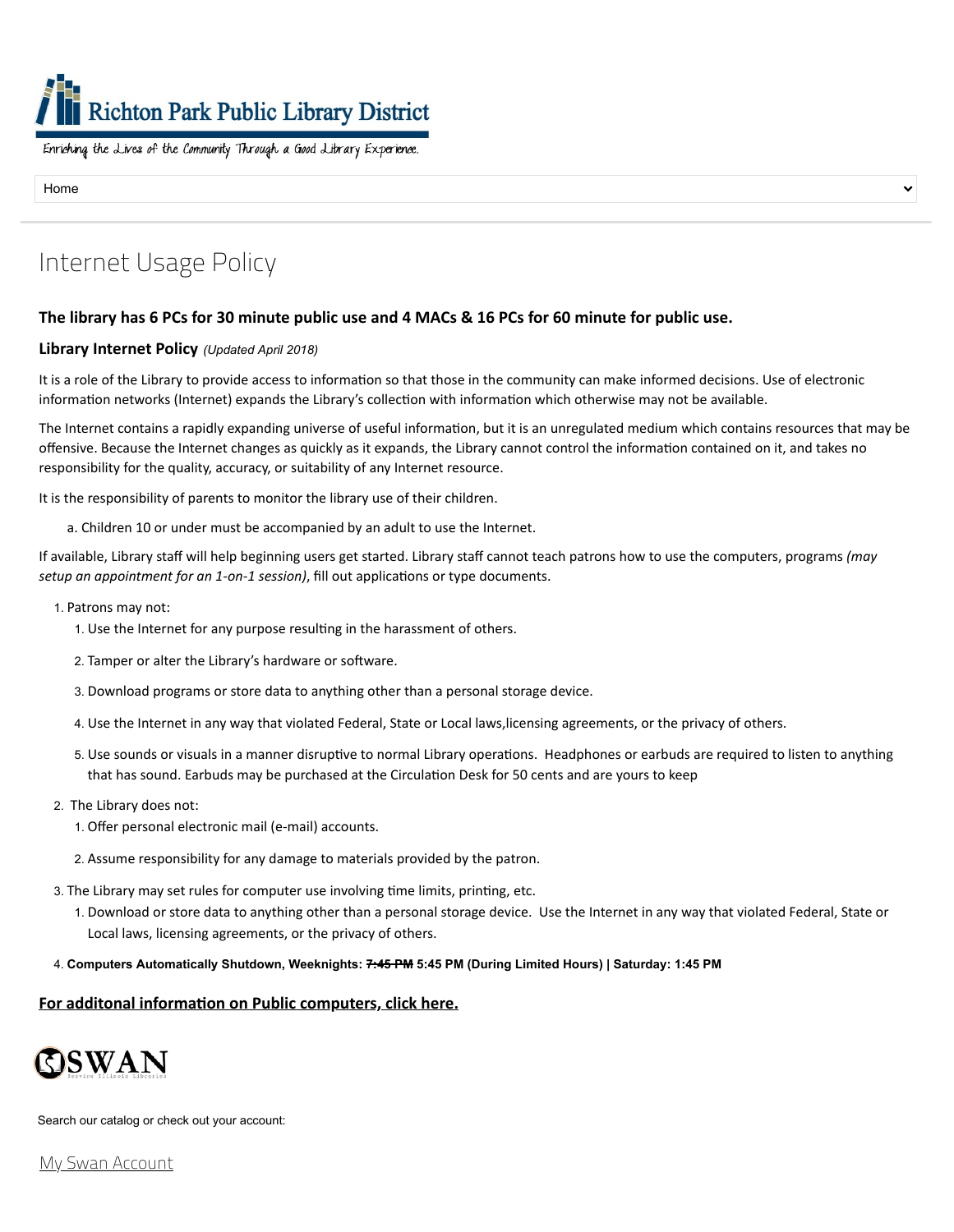# **Richton Park Public Library District**

Enriching the Lives of the Community Through a Good Library Experience.

Home

# Internet Usage Policy

## The library has 6 PCs for 30 minute public use and 4 MACs & 16 PCs for 60 minute for public use.

#### **Library Internet Policy** *(Updated April 2018)*

It is a role of the Library to provide access to information so that those in the community can make informed decisions. Use of electronic information networks (Internet) expands the Library's collection with information which otherwise may not be available.

The Internet contains a rapidly expanding universe of useful information, but it is an unregulated medium which contains resources that may be offensive. Because the Internet changes as quickly as it expands, the Library cannot control the information contained on it, and takes no responsibility for the quality, accuracy, or suitability of any Internet resource.

It is the responsibility of parents to monitor the library use of their children.

a. Children 10 or under must be accompanied by an adult to use the Internet.

If available, Library staff will help beginning users get started. Library staff cannot teach patrons how to use the computers, programs *(may setup an appointment for an 1-on-1 session)*, fill out applications or type documents.

- 1. Patrons may not:
	- 1. Use the Internet for any purpose resulting in the harassment of others.
	- 2. Tamper or alter the Library's hardware or software.
	- 3. Download programs or store data to anything other than a personal storage device.
	- 4. Use the Internet in any way that violated Federal, State or Local laws,licensing agreements, or the privacy of others.
	- 5. Use sounds or visuals in a manner disruptive to normal Library operations. Headphones or earbuds are required to listen to anything that has sound. Earbuds may be purchased at the Circulation Desk for 50 cents and are yours to keep
- 2. The Library does not:
	- 1. Offer personal electronic mail (e-mail) accounts.
	- 2. Assume responsibility for any damage to materials provided by the patron.
- 3. The Library may set rules for computer use involving time limits, printing, etc.
	- 1. Download or store data to anything other than a personal storage device. Use the Internet in any way that violated Federal, State or Local laws, licensing agreements, or the privacy of others.
- 4. **Computers Automatically Shutdown, Weeknights: 7:45 PM 5:45 PM (During Limited Hours) | Saturday: 1:45 PM**

## **For additonal [information](http://www.richtonparklibrary.org/services/computers) on Public computers, click here.**



Search our catalog or check out your account:

My Swan [Account](https://swanlibs.ent.sirsi.net/client/en_US/rps/search/account)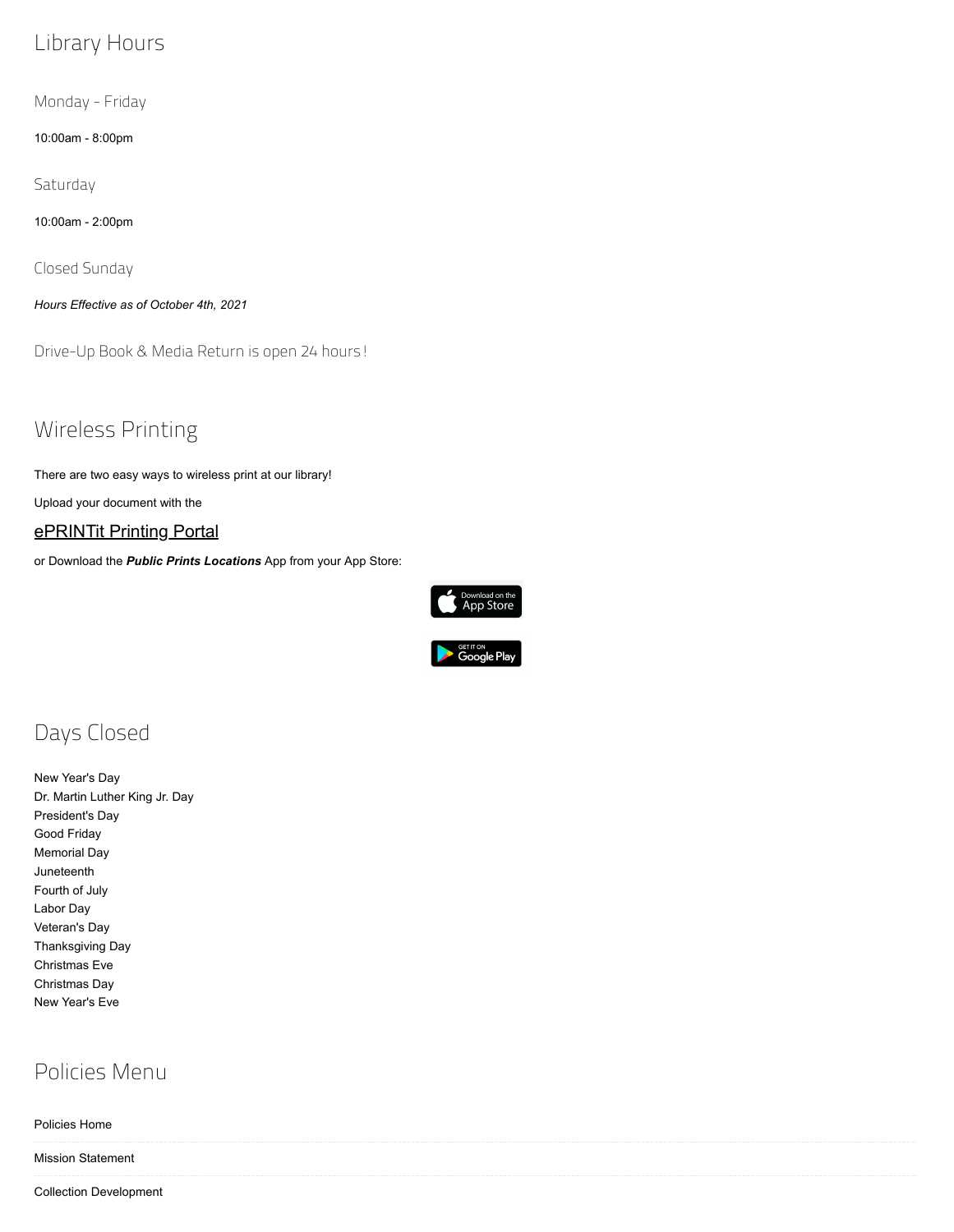## Library Hours

Monday - Friday

10:00am - 8:00pm

**Saturday** 

10:00am - 2:00pm

Closed Sunday

*Hours Effective as of October 4th, 2021*

Drive-Up Book & Media Return is open 24 hours!

Wireless Printing

There are two easy ways to wireless print at our library!

Upload your document with the

## [ePRINTit](https://tbs.eprintit.com/portal/#/ppl/upload/RPPL) Printing Portal

or Download the *Public Prints Locations* App from your App Store:





## Days Closed

New Year's Day Dr. Martin Luther King Jr. Day President's Day Good Friday Memorial Day Juneteenth Fourth of July Labor Day Veteran's Day Thanksgiving Day Christmas Eve Christmas Day New Year's Eve

## Policies Menu

[Policies Home](https://www.richtonparklibrary.org/policies-home) [Mission Statement](https://www.richtonparklibrary.org/mission-statement) [Collection Development](https://www.richtonparklibrary.org/collection-development)